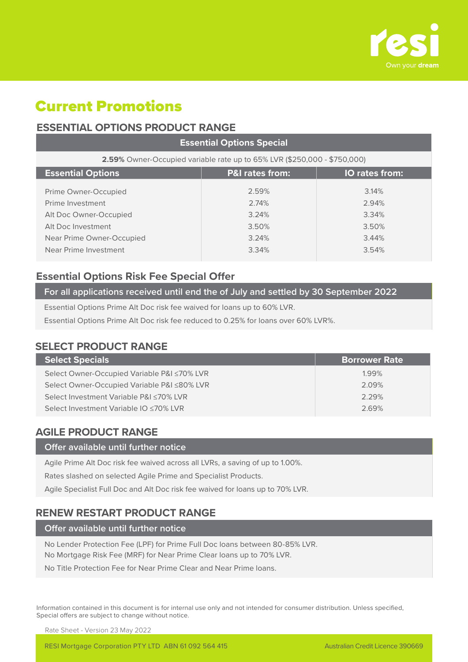

# Current Promotions

# **ESSENTIAL OPTIONS PRODUCT RANGE**

| <b>Essential Options Special</b>                                         |                |                |  |  |  |  |
|--------------------------------------------------------------------------|----------------|----------------|--|--|--|--|
| 2.59% Owner-Occupied variable rate up to 65% LVR (\$250,000 - \$750,000) |                |                |  |  |  |  |
| <b>Essential Options</b><br><b>P&amp;I rates from:</b><br>IO rates from: |                |                |  |  |  |  |
| Prime Owner-Occupied                                                     | 2.59%          | 3.14%          |  |  |  |  |
| Prime Investment                                                         | 2.74%          | 2.94%          |  |  |  |  |
| Alt Doc Owner-Occupied                                                   | 3.24%          | 3.34%          |  |  |  |  |
| Alt Doc Investment<br>Near Prime Owner-Occupied                          | 3.50%<br>3.24% | 3.50%<br>3.44% |  |  |  |  |
| Near Prime Investment                                                    | 3.34%          | 3.54%          |  |  |  |  |
|                                                                          |                |                |  |  |  |  |

# **Essential Options Risk Fee Special Offer**

### **For all applications received until end the of July and settled by 30 September 2022**

Essential Options Prime Alt Doc risk fee waived for loans up to 60% LVR.

Essential Options Prime Alt Doc risk fee reduced to 0.25% for loans over 60% LVR%.

# **SELECT PRODUCT RANGE**

| <b>Select Specials</b>                      | <b>Borrower Rate</b> |
|---------------------------------------------|----------------------|
| Select Owner-Occupied Variable P&I ≤70% LVR | 1.99%                |
| Select Owner-Occupied Variable P&I ≤80% LVR | 2.09%                |
| Select Investment Variable P&I ≤70% LVR     | 2.29%                |
| Select Investment Variable IO ≤70% LVR      | 2.69%                |
|                                             |                      |

# **AGILE PRODUCT RANGE**

#### **Offer available until further notice**

Agile Prime Alt Doc risk fee waived across all LVRs, a saving of up to 1.00%.

Rates slashed on selected Agile Prime and Specialist Products.

Agile Specialist Full Doc and Alt Doc risk fee waived for loans up to 70% LVR.

# **RENEW RESTART PRODUCT RANGE**

**Offer available until further notice**

No Lender Protection Fee (LPF) for Prime Full Doc loans between 80-85% LVR. No Mortgage Risk Fee (MRF) for Near Prime Clear loans up to 70% LVR.

No Title Protection Fee for Near Prime Clear and Near Prime loans.

Information contained in this document is for internal use only and not intended for consumer distribution. Unless specified, Special offers are subject to change without notice.

Rate Sheet - Version 23 May 2022

RESI Mortgage Corporation PTY LTD ABN 61 092 564 415 Australian Credit Licence 390669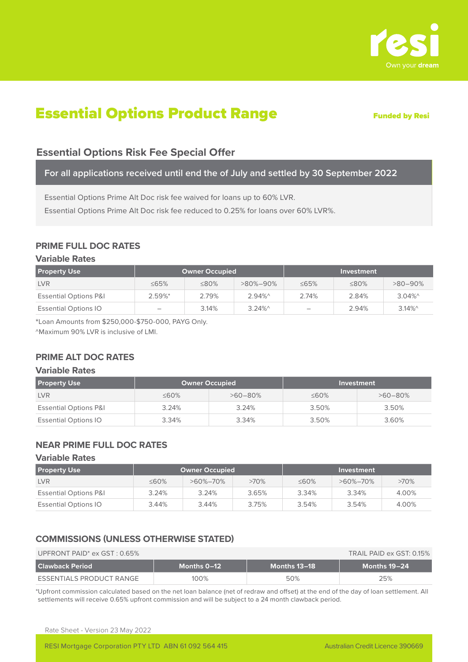

# **Essential Options Product Range Trunded by Resi**

# **Essential Options Risk Fee Special Offer**

**For all applications received until end the of July and settled by 30 September 2022**

Essential Options Prime Alt Doc risk fee waived for loans up to 60% LVR.

Essential Options Prime Alt Doc risk fee reduced to 0.25% for loans over 60% LVR%.

## **PRIME FULL DOC RATES**

#### **Variable Rates**

| <b>Property Use</b>              | <b>Owner Occupied</b>    |             |                | <b>Investment</b> |             |                       |
|----------------------------------|--------------------------|-------------|----------------|-------------------|-------------|-----------------------|
| <b>LVR</b>                       | $\leq$ 65%               | $\leq 80\%$ | $>80\% - 90\%$ | $\leq 65\%$       | $\leq 80\%$ | $>80-90\%$            |
| <b>Essential Options P&amp;I</b> | $2.59\%$ <sup>*</sup>    | 2.79%       | $2.94\%$       | 2.74%             | 2.84%       | $3.04\%$ <sup>^</sup> |
| <b>Essential Options IO</b>      | $\overline{\phantom{a}}$ | 3.14%       | $3.24\%$       | -                 | 2.94%       | $3.14\%$              |

\*Loan Amounts from \$250,000-\$750-000, PAYG Only.

^Maximum 90% LVR is inclusive of LMI.

## **PRIME ALT DOC RATES**

#### **Variable Rates**

| <b>Property Use</b>              | <b>Owner Occupied</b> |              |             |              |  | Investment |
|----------------------------------|-----------------------|--------------|-------------|--------------|--|------------|
| <b>LVR</b>                       | $\leq 60\%$           | $>60 - 80\%$ | $\leq 60\%$ | $>60 - 80\%$ |  |            |
| <b>Essential Options P&amp;I</b> | 3.24%                 | 3.24%        | 3.50%       | 3.50%        |  |            |
| <b>Essential Options IO</b>      | 3.34%                 | 3.34%        | 3.50%       | 3.60%        |  |            |

## **NEAR PRIME FULL DOC RATES**

#### **Variable Rates**

| <b>Property Use</b>              | Owner Occupied |                |         | Investment  |                |         |
|----------------------------------|----------------|----------------|---------|-------------|----------------|---------|
| <b>LVR</b>                       | $\leq 60\%$    | $>60\% - 70\%$ | $>70\%$ | $\leq 60\%$ | $>60\% - 70\%$ | $>70\%$ |
| <b>Essential Options P&amp;I</b> | 3.24%          | 3.24%          | 3.65%   | 3.34%       | 3.34%          | 4.00%   |
| <b>Essential Options IO</b>      | 3.44%          | 3.44%          | 3.75%   | 3.54%       | 3.54%          | 4.00%   |

### **COMMISSIONS (UNLESS OTHERWISE STATED)**

| UPFRONT PAID <sup>*</sup> ex $GST: 0.65\%$ | TRAIL PAID ex GST: 0.15% |              |              |
|--------------------------------------------|--------------------------|--------------|--------------|
| l Clawback Period                          | Months 0-12              | Months 13–18 | Months 19-24 |
| ESSENTIALS PRODUCT RANGE                   | 100%                     | 50%          | 25%          |

\*Upfront commission calculated based on the net loan balance (net of redraw and offset) at the end of the day of loan settlement. All settlements will receive 0.65% upfront commission and will be subject to a 24 month clawback period.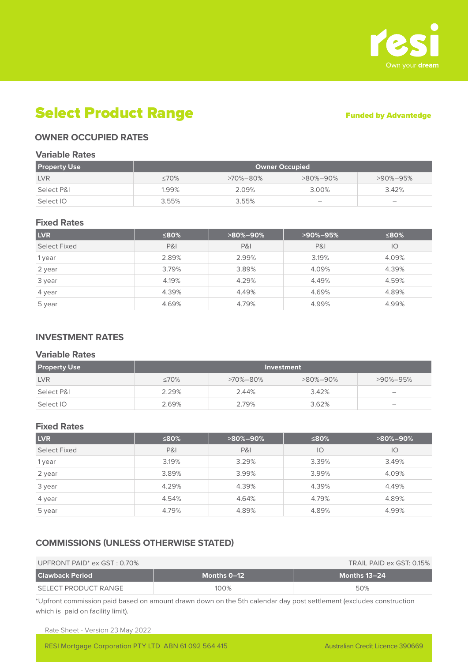

# Select Product Range Funded by Advantedge

### **OWNER OCCUPIED RATES**

#### **Variable Rates**

| <b>Property Use</b> | <b>Owner Occupied</b> |                |                          |                          |  |  |
|---------------------|-----------------------|----------------|--------------------------|--------------------------|--|--|
| <b>LVR</b>          | $\leq 70\%$           | $>70\% - 80\%$ | $>80\% - 90\%$           | $>90\% - 95\%$           |  |  |
| Select P&L          | 1.99%                 | 2.09%          | 3.00%                    | 3.42%                    |  |  |
| Select IO           | 3.55%                 | 3.55%          | $\overline{\phantom{a}}$ | $\overline{\phantom{a}}$ |  |  |

#### **Fixed Rates**

| <b>LVR</b>   | ≤80%           | >90%-95%<br>$>80\% - 90\%$ |                | ≤80%  |
|--------------|----------------|----------------------------|----------------|-------|
| Select Fixed | <b>P&amp;I</b> | <b>P&amp;I</b>             | <b>P&amp;I</b> | IO    |
| 1 year       | 2.89%          | 2.99%                      | 3.19%          |       |
| 2 year       | 3.79%          | 3.89%                      | 4.09%          | 4.39% |
| 3 year       | 4.19%          | 4.29%                      | 4.49%          | 4.59% |
| 4 year       | 4.39%          | 4.49%                      | 4.69%          | 4.89% |
| 5 year       | 4.69%          | 4.79%                      | 4.99%          | 4.99% |

### **INVESTMENT RATES**

#### **Variable Rates**

| <b>Property Use</b> | Investment  |                |                |                 |  |  |
|---------------------|-------------|----------------|----------------|-----------------|--|--|
| <b>LVR</b>          | $\leq 70\%$ | $>70\% - 80\%$ | $>80\% - 90\%$ | $>90\% - 95\%$  |  |  |
| Select P&I          | 2.29%       | 2.44%          | 3.42%          | $\qquad \qquad$ |  |  |
| Select IO           | 2.69%       | 2.79%          | 3.62%          |                 |  |  |

#### **Fixed Rates**

| <b>LVR</b>   | ≤80%           | $>80\% - 90\%$ | ≤80%  | $>80\% - 90\%$ |
|--------------|----------------|----------------|-------|----------------|
| Select Fixed | <b>P&amp;I</b> | <b>P&amp;I</b> | IO    | $\overline{O}$ |
| 1 year       | 3.19%          | 3.29%          | 3.39% | 3.49%          |
| 2 year       | 3.89%          | 3.99%          | 3.99% | 4.09%          |
| 3 year       | 4.29%          | 4.39%          | 4.39% | 4.49%          |
| 4 year       | 4.54%          | 4.64%          | 4.79% | 4.89%          |
| 5 year       | 4.79%          | 4.89%          | 4.89% | 4.99%          |

#### **COMMISSIONS (UNLESS OTHERWISE STATED)**

#### UPFRONT PAID<sup>\*</sup> ex GST : 0.70% TRAIL PAID ex GST: 0.15% TRAIL PAID ex GST: 0.15%

| <b>Clawback Period</b> | Months 0-12 | Months 13–24 $^{\circ}$ |
|------------------------|-------------|-------------------------|
| SELECT PRODUCT RANGE   | 100%        | 50%                     |

\*Upfront commission paid based on amount drawn down on the 5th calendar day post settlement (excludes construction which is paid on facility limit).

Rate Sheet - Version 23 May 2022

RESI Mortgage Corporation PTY LTD ABN 61 092 564 415 Australian Credit Licence 390669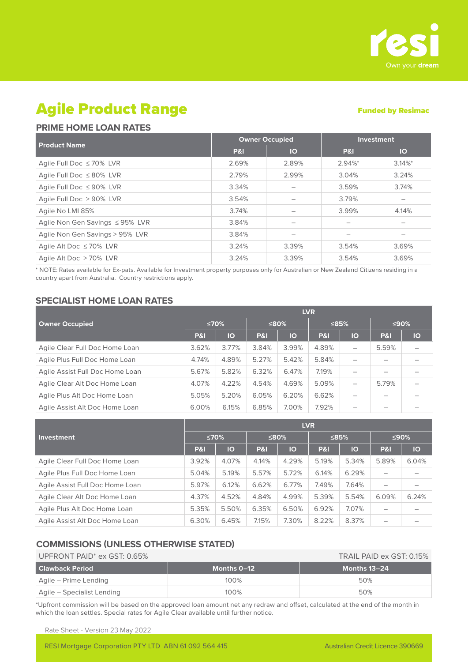

# Agile Product Range

#### Funded by Resimac

### **PRIME HOME LOAN RATES**

|                                      |                | <b>Owner Occupied</b> | <b>Investment</b>     |                 |
|--------------------------------------|----------------|-----------------------|-----------------------|-----------------|
| <b>Product Name</b>                  | <b>P&amp;I</b> | <b>IO</b>             | <b>P&amp;I</b>        | $\overline{10}$ |
| Agile Full Doc ≤ 70% LVR             | 2.69%          | 2.89%                 | $2.94\%$ <sup>*</sup> | $3.14\%$ *      |
| Agile Full Doc $\leq 80\%$ LVR       | 2.79%          | 2.99%                 | 3.04%                 | 3.24%           |
| Agile Full Doc $\leq$ 90% LVR        | 3.34%          |                       | 3.59%                 | 3.74%           |
| Agile Full Doc > 90% LVR             | 3.54%          |                       | 3.79%                 |                 |
| Agile No LMI 85%                     | 3.74%          |                       | 3.99%                 | 4.14%           |
| Agile Non Gen Savings $\leq$ 95% LVR | 3.84%          |                       |                       |                 |
| Agile Non Gen Savings > 95% LVR      | 3.84%          |                       |                       | -               |
| Agile Alt Doc $\leq 70\%$ LVR        | 3.24%          | 3.39%                 | 3.54%                 | 3.69%           |
| Agile Alt Doc > 70% LVR              | 3.24%          | 3.39%                 | 3.54%                 | 3.69%           |

\* NOTE: Rates available for Ex-pats. Available for Investment property purposes only for Australian or New Zealand Citizens residing in a country apart from Australia. Country restrictions apply.

### **SPECIALIST HOME LOAN RATES**

|                                 | <b>LVR</b>     |           |                |       |                |         |                |    |  |
|---------------------------------|----------------|-----------|----------------|-------|----------------|---------|----------------|----|--|
| <b>Owner Occupied</b>           |                | ≤70%      |                | ≤80%  |                | $≤85\%$ | ≤90%           |    |  |
|                                 | <b>P&amp;I</b> | <b>IO</b> | <b>P&amp;I</b> | IO    | <b>P&amp;I</b> | IO      | <b>P&amp;I</b> | IO |  |
| Agile Clear Full Doc Home Loan  | 3.62%          | 3.77%     | 3.84%          | 3.99% | 4.89%          | -       | 5.59%          |    |  |
| Agile Plus Full Doc Home Loan   | 4.74%          | 4.89%     | 5.27%          | 5.42% | 5.84%          |         |                |    |  |
| Agile Assist Full Doc Home Loan | 5.67%          | 5.82%     | 6.32%          | 6.47% | 7.19%          |         |                |    |  |
| Agile Clear Alt Doc Home Loan   | 4.07%          | 4.22%     | 4.54%          | 4.69% | 5.09%          |         | 5.79%          |    |  |
| Agile Plus Alt Doc Home Loan    | 5.05%          | 5.20%     | 6.05%          | 6.20% | 6.62%          |         |                |    |  |
| Agile Assist Alt Doc Home Loan  | 6.00%          | 6.15%     | 6.85%          | 7.00% | 7.92%          | -       |                |    |  |

|                                 | <b>LVR</b> |       |                |       |                |         |       |       |  |
|---------------------------------|------------|-------|----------------|-------|----------------|---------|-------|-------|--|
| Investment                      |            | ≤70%  |                | ≤80%  |                | $≤85\%$ |       | ≤90%  |  |
|                                 | P&I        | IO    | <b>P&amp;I</b> | IO    | <b>P&amp;I</b> | IO      | P&I   | IO    |  |
| Agile Clear Full Doc Home Loan  | 3.92%      | 4.07% | 4.14%          | 4.29% | 5.19%          | 5.34%   | 5.89% | 6.04% |  |
| Agile Plus Full Doc Home Loan   | 5.04%      | 5.19% | 5.57%          | 5.72% | 6.14%          | 6.29%   |       |       |  |
| Agile Assist Full Doc Home Loan | 5.97%      | 6.12% | 6.62%          | 6.77% | 7.49%          | 7.64%   | —     |       |  |
| Agile Clear Alt Doc Home Loan   | 4.37%      | 4.52% | 4.84%          | 4.99% | 5.39%          | 5.54%   | 6.09% | 6.24% |  |
| Agile Plus Alt Doc Home Loan    | 5.35%      | 5.50% | 6.35%          | 6.50% | 6.92%          | 7.07%   | —     |       |  |
| Agile Assist Alt Doc Home Loan  | 6.30%      | 6.45% | 7.15%          | 7.30% | 8.22%          | 8.37%   |       |       |  |

#### **COMMISSIONS (UNLESS OTHERWISE STATED)**

| UPFRONT PAID <sup>*</sup> ex GST: 0.65% |               | TRAIL PAID ex GST: 0.15% |
|-----------------------------------------|---------------|--------------------------|
| l Clawback Period                       | ، Months 0–12 | Months 13-24             |
| Agile – Prime Lending                   | $100\%$       | 50%                      |
| Agile – Specialist Lending              | 100%          | 50%                      |

\*Upfront commission will be based on the approved loan amount net any redraw and offset, calculated at the end of the month in which the loan settles. Special rates for Agile Clear available until further notice.

Rate Sheet - Version 23 May 2022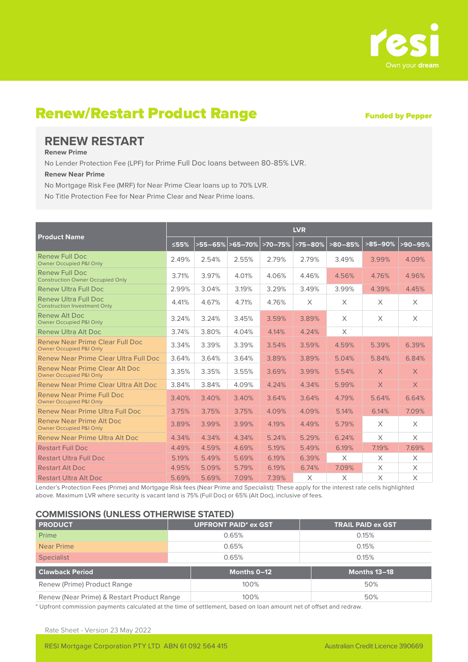

# Renew/Restart Product Range Funded by Pepper

# **RENEW RESTART**

#### **Renew Prime**

No Lender Protection Fee (LPF) for Prime Full Doc loans between 80-85% LVR.

#### **Renew Near Prime**

No Mortgage Risk Fee (MRF) for Near Prime Clear loans up to 70% LVR.

No Title Protection Fee for Near Prime Clear and Near Prime loans.

|                                                                       | <b>LVR</b> |                  |       |           |           |           |            |             |  |
|-----------------------------------------------------------------------|------------|------------------|-------|-----------|-----------|-----------|------------|-------------|--|
| <b>Product Name</b>                                                   | ≤55%       | >55-65% > 65-70% |       | $>70-75%$ | $>75-80%$ | $>80-85%$ | $>85-90\%$ | $ >$ 90–95% |  |
| Renew Full Doc<br><b>Owner Occupied P&amp;I Only</b>                  | 2.49%      | 2.54%            | 2.55% | 2.79%     | 2.79%     | 3.49%     | 3.99%      | 4.09%       |  |
| <b>Renew Full Doc</b><br><b>Construction Owner Occupied Only</b>      | 3.71%      | 3.97%            | 4.01% | 4.06%     | 4.46%     | 4.56%     | 4.76%      | 4.96%       |  |
| <b>Renew Ultra Full Doc</b>                                           | 2.99%      | 3.04%            | 3.19% | 3.29%     | 3.49%     | 3.99%     | 4.39%      | 4.45%       |  |
| <b>Renew Ultra Full Doc</b><br><b>Construction Investment Only</b>    | 4.41%      | 4.67%            | 4.71% | 4.76%     | X         | $\times$  | $\times$   | $\times$    |  |
| <b>Renew Alt Doc</b><br><b>Owner Occupied P&amp;I Only</b>            | 3.24%      | 3.24%            | 3.45% | 3.59%     | 3.89%     | X         | $\times$   | $\times$    |  |
| Renew Ultra Alt Doc                                                   | 3.74%      | 3.80%            | 4.04% | 4.14%     | 4.24%     | $\times$  |            |             |  |
| Renew Near Prime Clear Full Doc<br><b>Owner Occupied P&amp;I Only</b> | 3.34%      | 3.39%            | 3.39% | 3.54%     | 3.59%     | 4.59%     | 5.39%      | 6.39%       |  |
| Renew Near Prime Clear Ultra Full Doc                                 | 3.64%      | 3.64%            | 3.64% | 3.89%     | 3.89%     | 5.04%     | 5.84%      | 6.84%       |  |
| Renew Near Prime Clear Alt Doc<br><b>Owner Occupied P&amp;I Only</b>  | 3.35%      | 3.35%            | 3.55% | 3.69%     | 3.99%     | 5.54%     | $\times$   | $\times$    |  |
| Renew Near Prime Clear Ultra Alt Doc                                  | 3.84%      | 3.84%            | 4.09% | 4.24%     | 4.34%     | 5.99%     | $\times$   | $\times$    |  |
| Renew Near Prime Full Doc<br><b>Owner Occupied P&amp;I Only</b>       | 3.40%      | 3.40%            | 3.40% | 3.64%     | 3.64%     | 4.79%     | 5.64%      | 6.64%       |  |
| Renew Near Prime Ultra Full Doc                                       | 3.75%      | 3.75%            | 3.75% | 4.09%     | 4.09%     | 5.14%     | 6.14%      | 7.09%       |  |
| Renew Near Prime Alt Doc<br><b>Owner Occupied P&amp;I Only</b>        | 3.89%      | 3.99%            | 3.99% | 4.19%     | 4.49%     | 5.79%     | $\times$   | $\times$    |  |
| Renew Near Prime Ultra Alt Doc                                        | 4.34%      | 4.34%            | 4.34% | 5.24%     | 5.29%     | 6.24%     | $\times$   | $\times$    |  |
| <b>Restart Full Doc</b>                                               | 4.49%      | 4.59%            | 4.69% | 5.19%     | 5.49%     | 6.19%     | 7.19%      | 7.69%       |  |
| <b>Restart Ultra Full Doc</b>                                         | 5.19%      | 5.49%            | 5.69% | 6.19%     | 6.39%     | $\times$  | $\times$   | X           |  |
| <b>Restart Alt Doc</b>                                                | 4.95%      | 5.09%            | 5.79% | 6.19%     | 6.74%     | 7.09%     | X          | X           |  |
| <b>Restart Ultra Alt Doc</b>                                          | 5.69%      | 5.69%            | 7.09% | 7.39%     | X         | $\times$  | $\times$   | $\times$    |  |

Lender's Protection Fees (Prime) and Mortgage Risk fees (Near Prime and Specialist): These apply for the interest rate cells highlighted above. Maximum LVR where security is vacant land is 75% (Full Doc) or 65% (Alt Doc), inclusive of fees.

#### **COMMISSIONS (UNLESS OTHERWISE STATED)**

| <b>PRODUCT</b>                             | <b>UPFRONT PAID* ex GST</b> | <b>TRAIL PAID ex GST</b> |
|--------------------------------------------|-----------------------------|--------------------------|
| Prime                                      | 0.65%                       | 0.15%                    |
| Near Prime                                 | 0.65%                       | 0.15%                    |
| <b>Specialist</b>                          | 0.65%                       | 0.15%                    |
| <b>Clawback Period</b>                     | Months 0-12                 | Months 13-18             |
| Renew (Prime) Product Range                | 100%                        | 50%                      |
| Renew (Near Prime) & Restart Product Range | 100%                        | 50%                      |

\* Upfront commission payments calculated at the time of settlement, based on loan amount net of offset and redraw.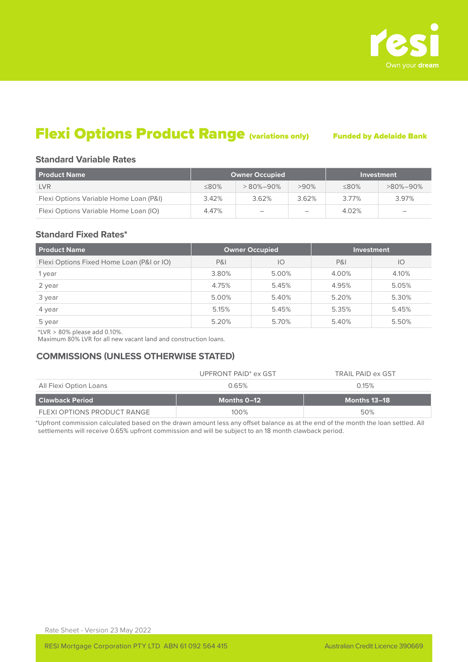

# Flexi Options Product Range (variations only) Funded by Adelaide Bank

#### **Standard Variable Rates**

| <b>Product Name</b>                    |             | <b>Owner Occupied</b>    | Investment |             |                          |
|----------------------------------------|-------------|--------------------------|------------|-------------|--------------------------|
| <b>LVR</b>                             | $\leq 80\%$ | $>80\% - 90\%$           | $>90\%$    | $\leq 80\%$ | $>80\% - 90\%$           |
| Flexi Options Variable Home Loan (P&I) | 3.42%       | 3.62%                    | 3.62%      | 3.77%       | 3.97%                    |
| Flexi Options Variable Home Loan (IO)  | 4.47%       | $\overline{\phantom{a}}$ | -          | 4.02%       | $\overline{\phantom{a}}$ |

#### **Standard Fixed Rates\***

| <b>Product Name</b>                       | <b>Owner Occupied</b> |       |       | <b>Investment</b> |
|-------------------------------------------|-----------------------|-------|-------|-------------------|
| Flexi Options Fixed Home Loan (P&I or IO) | <b>P&amp;I</b>        | IO    | P&    | $\overline{O}$    |
| 1 year                                    | 3.80%                 | 5.00% | 4.00% | 4.10%             |
| 2 year                                    | 4.75%                 | 5.45% | 4.95% | 5.05%             |
| 3 year                                    | 5.00%                 | 5.40% | 5.20% | 5.30%             |
| 4 year                                    | 5.15%                 | 5.45% | 5.35% | 5.45%             |
| 5 year                                    | 5.20%                 | 5.70% | 5.40% | 5.50%             |

 $*LVR > 80\%$  please add 0.10%.

Maximum 80% LVR for all new vacant land and construction loans.

#### **COMMISSIONS (UNLESS OTHERWISE STATED)**

|                        | UPFRONT PAID <sup>*</sup> ex GST | TRAIL PAID ex GST |
|------------------------|----------------------------------|-------------------|
| All Flexi Option Loans | 0.65%                            | 0.15%             |
|                        |                                  |                   |
| <b>Clawback Period</b> | Months 0–12                      | Months 13–18      |

\*Upfront commission calculated based on the drawn amount less any offset balance as at the end of the month the loan settled. All settlements will receive 0.65% upfront commission and will be subject to an 18 month clawback period.